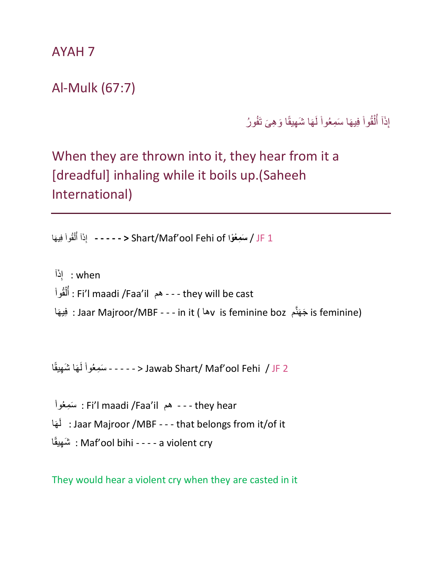AYAH 7

## Al-Mulk (67:7)

إِذَآ أَلْقُواْ فِيهَا سَمِعُواْ لَـهَا شَـهِيقًا وَهِيَ تَفُورُ j ْ ا<br>الماضي j

## When they are thrown into it, they hear from it a [dreadful] inhaling while it boils up.(Saheeh International)

ِذَا إ قُوا ل َه أ ا يِف **- - - - - <** Shart/Maf'ool Fehi of **واْ ُمعِسَ** / JF 1 İ ْ ُ

ِذَا when : إ j قُوا ل أ : Fi'l maadi /Faa'il ٓهم - - - they will be cast ْ ُ is feminine) جَهَنَّم s Jaar Majroor/MBF - - - in it ( أَهْلِهَا فِيهَا فِيهَا : وَلِيهَا

İ َس ِمعُوا َها ل ا َ ًهيقِ شَ - - - - - < Jawab Shart/ Maf'ool Fehi / JF 2

j َس ِمعُوا : Fi'l maadi /Faa'il ٓهم - - - they hear َها َل : Jaar Majroor /MBF - - - that belongs from it/of it ا ًهيقِ شَ : Maf'ool bihi - - - - a violent cry

They would hear a violent cry when they are casted in it